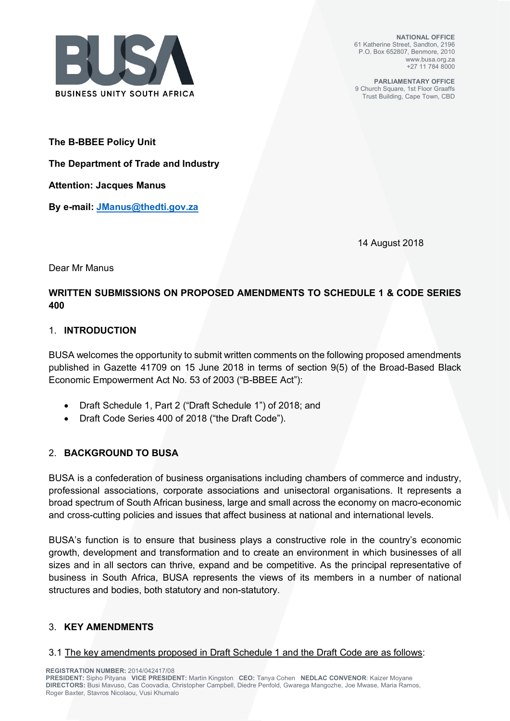

**NATIONAL OFFICE** 61 Katherine Street, Sandton, 2196 P.O. Box 652807, Benmore, 2010 www.busa.org.za +27 11 784 8000

**PARLIAMENTARY OFFICE** 9 Church Square, 1st Floor Graaffs Trust Building, Cape Town, CBD

**The B-BBEE Policy Unit** 

**The Department of Trade and Industry** 

**Attention: Jacques Manus** 

**By e-mail: JManus@thedti.gov.za**

14 August 2018

Dear Mr Manus

# **WRITTEN SUBMISSIONS ON PROPOSED AMENDMENTS TO SCHEDULE 1 & CODE SERIES 400**

### 1. **INTRODUCTION**

BUSA welcomes the opportunity to submit written comments on the following proposed amendments published in Gazette 41709 on 15 June 2018 in terms of section 9(5) of the Broad-Based Black Economic Empowerment Act No. 53 of 2003 ("B-BBEE Act"):

- Draft Schedule 1, Part 2 ("Draft Schedule 1") of 2018; and
- Draft Code Series 400 of 2018 ("the Draft Code").

## 2. **BACKGROUND TO BUSA**

BUSA is a confederation of business organisations including chambers of commerce and industry, professional associations, corporate associations and unisectoral organisations. It represents a broad spectrum of South African business, large and small across the economy on macro-economic and cross-cutting policies and issues that affect business at national and international levels.

BUSA's function is to ensure that business plays a constructive role in the country's economic growth, development and transformation and to create an environment in which businesses of all sizes and in all sectors can thrive, expand and be competitive. As the principal representative of business in South Africa, BUSA represents the views of its members in a number of national structures and bodies, both statutory and non-statutory.

## 3. **KEY AMENDMENTS**

#### 3.1 The key amendments proposed in Draft Schedule 1 and the Draft Code are as follows:

**REGISTRATION NUMBER:** 2014/042417/08

**PRESIDENT:** Sipho Pityana **VICE PRESIDENT:** Martin Kingston **CEO:** Tanya Cohen **NEDLAC CONVENOR**: Kaizer Moyane **DIRECTORS:** Busi Mavuso, Cas Coovadia, Christopher Campbell, Diedre Penfold, Gwarega Mangozhe, Joe Mwase, Maria Ramos, Roger Baxter, Stavros Nicolaou, Vusi Khumalo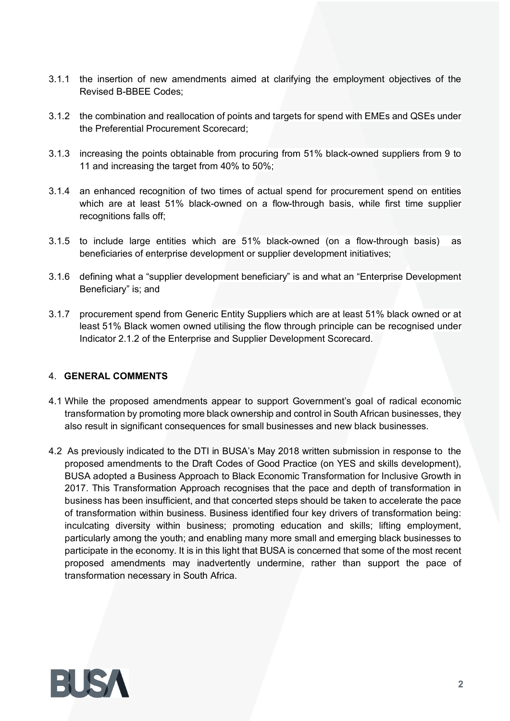- 3.1.1 the insertion of new amendments aimed at clarifying the employment objectives of the Revised B-BBEE Codes;
- 3.1.2 the combination and reallocation of points and targets for spend with EMEs and QSEs under the Preferential Procurement Scorecard;
- 3.1.3 increasing the points obtainable from procuring from 51% black-owned suppliers from 9 to 11 and increasing the target from 40% to 50%;
- 3.1.4 an enhanced recognition of two times of actual spend for procurement spend on entities which are at least 51% black-owned on a flow-through basis, while first time supplier recognitions falls off;
- 3.1.5 to include large entities which are 51% black-owned (on a flow-through basis) as beneficiaries of enterprise development or supplier development initiatives;
- 3.1.6 defining what a "supplier development beneficiary" is and what an "Enterprise Development Beneficiary" is; and
- 3.1.7 procurement spend from Generic Entity Suppliers which are at least 51% black owned or at least 51% Black women owned utilising the flow through principle can be recognised under Indicator 2.1.2 of the Enterprise and Supplier Development Scorecard.

#### 4. **GENERAL COMMENTS**

- 4.1 While the proposed amendments appear to support Government's goal of radical economic transformation by promoting more black ownership and control in South African businesses, they also result in significant consequences for small businesses and new black businesses.
- 4.2 As previously indicated to the DTI in BUSA's May 2018 written submission in response to the proposed amendments to the Draft Codes of Good Practice (on YES and skills development), BUSA adopted a Business Approach to Black Economic Transformation for Inclusive Growth in 2017. This Transformation Approach recognises that the pace and depth of transformation in business has been insufficient, and that concerted steps should be taken to accelerate the pace of transformation within business. Business identified four key drivers of transformation being: inculcating diversity within business; promoting education and skills; lifting employment, particularly among the youth; and enabling many more small and emerging black businesses to participate in the economy. It is in this light that BUSA is concerned that some of the most recent proposed amendments may inadvertently undermine, rather than support the pace of transformation necessary in South Africa.

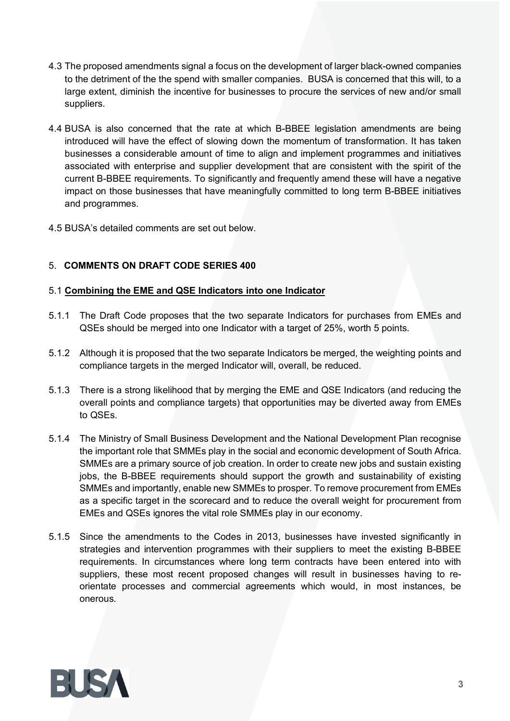- 4.3 The proposed amendments signal a focus on the development of larger black-owned companies to the detriment of the the spend with smaller companies. BUSA is concerned that this will, to a large extent, diminish the incentive for businesses to procure the services of new and/or small suppliers.
- 4.4 BUSA is also concerned that the rate at which B-BBEE legislation amendments are being introduced will have the effect of slowing down the momentum of transformation. It has taken businesses a considerable amount of time to align and implement programmes and initiatives associated with enterprise and supplier development that are consistent with the spirit of the current B-BBEE requirements. To significantly and frequently amend these will have a negative impact on those businesses that have meaningfully committed to long term B-BBEE initiatives and programmes.
- 4.5 BUSA's detailed comments are set out below.

## 5. **COMMENTS ON DRAFT CODE SERIES 400**

## 5.1 **Combining the EME and QSE Indicators into one Indicator**

- 5.1.1 The Draft Code proposes that the two separate Indicators for purchases from EMEs and QSEs should be merged into one Indicator with a target of 25%, worth 5 points.
- 5.1.2 Although it is proposed that the two separate Indicators be merged, the weighting points and compliance targets in the merged Indicator will, overall, be reduced.
- 5.1.3 There is a strong likelihood that by merging the EME and QSE Indicators (and reducing the overall points and compliance targets) that opportunities may be diverted away from EMEs to QSEs.
- 5.1.4 The Ministry of Small Business Development and the National Development Plan recognise the important role that SMMEs play in the social and economic development of South Africa. SMMEs are a primary source of job creation. In order to create new jobs and sustain existing jobs, the B-BBEE requirements should support the growth and sustainability of existing SMMEs and importantly, enable new SMMEs to prosper. To remove procurement from EMEs as a specific target in the scorecard and to reduce the overall weight for procurement from EMEs and QSEs ignores the vital role SMMEs play in our economy.
- 5.1.5 Since the amendments to the Codes in 2013, businesses have invested significantly in strategies and intervention programmes with their suppliers to meet the existing B-BBEE requirements. In circumstances where long term contracts have been entered into with suppliers, these most recent proposed changes will result in businesses having to reorientate processes and commercial agreements which would, in most instances, be onerous.

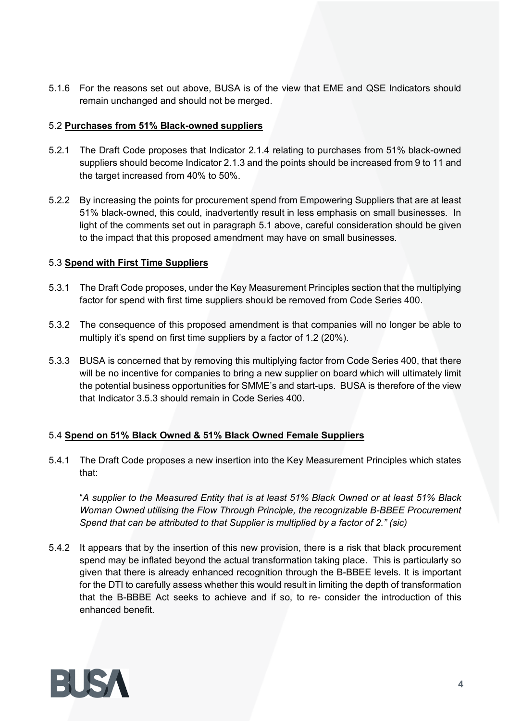5.1.6 For the reasons set out above, BUSA is of the view that EME and QSE Indicators should remain unchanged and should not be merged.

### 5.2 **Purchases from 51% Black-owned suppliers**

- 5.2.1 The Draft Code proposes that Indicator 2.1.4 relating to purchases from 51% black-owned suppliers should become Indicator 2.1.3 and the points should be increased from 9 to 11 and the target increased from 40% to 50%.
- 5.2.2 By increasing the points for procurement spend from Empowering Suppliers that are at least 51% black-owned, this could, inadvertently result in less emphasis on small businesses. In light of the comments set out in paragraph 5.1 above, careful consideration should be given to the impact that this proposed amendment may have on small businesses.

### 5.3 **Spend with First Time Suppliers**

- 5.3.1 The Draft Code proposes, under the Key Measurement Principles section that the multiplying factor for spend with first time suppliers should be removed from Code Series 400.
- 5.3.2 The consequence of this proposed amendment is that companies will no longer be able to multiply it's spend on first time suppliers by a factor of 1.2 (20%).
- 5.3.3 BUSA is concerned that by removing this multiplying factor from Code Series 400, that there will be no incentive for companies to bring a new supplier on board which will ultimately limit the potential business opportunities for SMME's and start-ups. BUSA is therefore of the view that Indicator 3.5.3 should remain in Code Series 400.

# 5.4 **Spend on 51% Black Owned & 51% Black Owned Female Suppliers**

5.4.1 The Draft Code proposes a new insertion into the Key Measurement Principles which states that:

"*A supplier to the Measured Entity that is at least 51% Black Owned or at least 51% Black Woman Owned utilising the Flow Through Principle, the recognizable B-BBEE Procurement Spend that can be attributed to that Supplier is multiplied by a factor of 2." (sic)*

5.4.2 It appears that by the insertion of this new provision, there is a risk that black procurement spend may be inflated beyond the actual transformation taking place. This is particularly so given that there is already enhanced recognition through the B-BBEE levels. It is important for the DTI to carefully assess whether this would result in limiting the depth of transformation that the B-BBBE Act seeks to achieve and if so, to re- consider the introduction of this enhanced benefit.

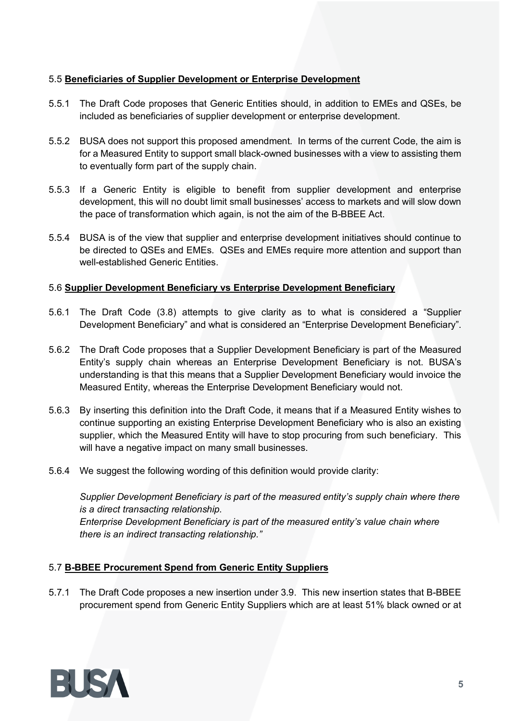## 5.5 **Beneficiaries of Supplier Development or Enterprise Development**

- 5.5.1 The Draft Code proposes that Generic Entities should, in addition to EMEs and QSEs, be included as beneficiaries of supplier development or enterprise development.
- 5.5.2 BUSA does not support this proposed amendment. In terms of the current Code, the aim is for a Measured Entity to support small black-owned businesses with a view to assisting them to eventually form part of the supply chain.
- 5.5.3 If a Generic Entity is eligible to benefit from supplier development and enterprise development, this will no doubt limit small businesses' access to markets and will slow down the pace of transformation which again, is not the aim of the B-BBEE Act.
- 5.5.4 BUSA is of the view that supplier and enterprise development initiatives should continue to be directed to QSEs and EMEs. QSEs and EMEs require more attention and support than well-established Generic Entities.

## 5.6 **Supplier Development Beneficiary vs Enterprise Development Beneficiary**

- 5.6.1 The Draft Code (3.8) attempts to give clarity as to what is considered a "Supplier Development Beneficiary" and what is considered an "Enterprise Development Beneficiary".
- 5.6.2 The Draft Code proposes that a Supplier Development Beneficiary is part of the Measured Entity's supply chain whereas an Enterprise Development Beneficiary is not. BUSA's understanding is that this means that a Supplier Development Beneficiary would invoice the Measured Entity, whereas the Enterprise Development Beneficiary would not.
- 5.6.3 By inserting this definition into the Draft Code, it means that if a Measured Entity wishes to continue supporting an existing Enterprise Development Beneficiary who is also an existing supplier, which the Measured Entity will have to stop procuring from such beneficiary. This will have a negative impact on many small businesses.
- 5.6.4 We suggest the following wording of this definition would provide clarity:

*Supplier Development Beneficiary is part of the measured entity's supply chain where there is a direct transacting relationship. Enterprise Development Beneficiary is part of the measured entity's value chain where there is an indirect transacting relationship."*

## 5.7 **B-BBEE Procurement Spend from Generic Entity Suppliers**

5.7.1 The Draft Code proposes a new insertion under 3.9. This new insertion states that B-BBEE procurement spend from Generic Entity Suppliers which are at least 51% black owned or at

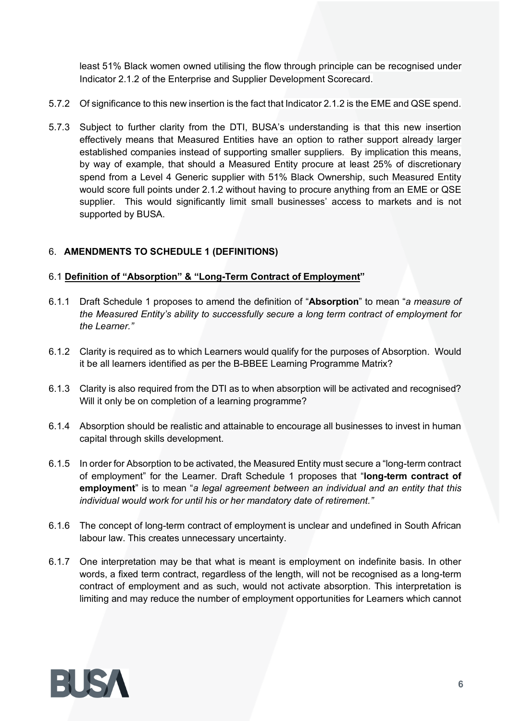least 51% Black women owned utilising the flow through principle can be recognised under Indicator 2.1.2 of the Enterprise and Supplier Development Scorecard.

- 5.7.2 Of significance to this new insertion is the fact that Indicator 2.1.2 is the EME and QSE spend.
- 5.7.3 Subject to further clarity from the DTI, BUSA's understanding is that this new insertion effectively means that Measured Entities have an option to rather support already larger established companies instead of supporting smaller suppliers. By implication this means, by way of example, that should a Measured Entity procure at least 25% of discretionary spend from a Level 4 Generic supplier with 51% Black Ownership, such Measured Entity would score full points under 2.1.2 without having to procure anything from an EME or QSE supplier. This would significantly limit small businesses' access to markets and is not supported by BUSA.

# 6. **AMENDMENTS TO SCHEDULE 1 (DEFINITIONS)**

## 6.1 **Definition of "Absorption" & "Long-Term Contract of Employment"**

- 6.1.1 Draft Schedule 1 proposes to amend the definition of "**Absorption**" to mean "*a measure of the Measured Entity's ability to successfully secure a long term contract of employment for the Learner."*
- 6.1.2 Clarity is required as to which Learners would qualify for the purposes of Absorption. Would it be all learners identified as per the B-BBEE Learning Programme Matrix?
- 6.1.3 Clarity is also required from the DTI as to when absorption will be activated and recognised? Will it only be on completion of a learning programme?
- 6.1.4 Absorption should be realistic and attainable to encourage all businesses to invest in human capital through skills development.
- 6.1.5 In order for Absorption to be activated, the Measured Entity must secure a "long-term contract of employment" for the Learner. Draft Schedule 1 proposes that "**long-term contract of employment**" is to mean "*a legal agreement between an individual and an entity that this individual would work for until his or her mandatory date of retirement."*
- 6.1.6 The concept of long-term contract of employment is unclear and undefined in South African labour law. This creates unnecessary uncertainty.
- 6.1.7 One interpretation may be that what is meant is employment on indefinite basis. In other words, a fixed term contract, regardless of the length, will not be recognised as a long-term contract of employment and as such, would not activate absorption. This interpretation is limiting and may reduce the number of employment opportunities for Learners which cannot

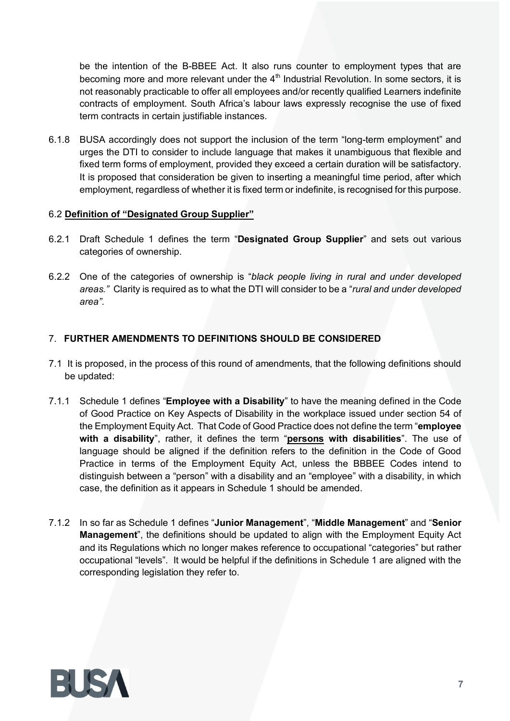be the intention of the B-BBEE Act. It also runs counter to employment types that are becoming more and more relevant under the 4<sup>th</sup> Industrial Revolution. In some sectors, it is not reasonably practicable to offer all employees and/or recently qualified Learners indefinite contracts of employment. South Africa's labour laws expressly recognise the use of fixed term contracts in certain justifiable instances.

6.1.8 BUSA accordingly does not support the inclusion of the term "long-term employment" and urges the DTI to consider to include language that makes it unambiguous that flexible and fixed term forms of employment, provided they exceed a certain duration will be satisfactory. It is proposed that consideration be given to inserting a meaningful time period, after which employment, regardless of whether it is fixed term or indefinite, is recognised for this purpose.

### 6.2 **Definition of "Designated Group Supplier"**

- 6.2.1 Draft Schedule 1 defines the term "**Designated Group Supplier**" and sets out various categories of ownership.
- 6.2.2 One of the categories of ownership is "*black people living in rural and under developed areas."* Clarity is required as to what the DTI will consider to be a "*rural and under developed area"*.

# 7. **FURTHER AMENDMENTS TO DEFINITIONS SHOULD BE CONSIDERED**

- 7.1 It is proposed, in the process of this round of amendments, that the following definitions should be updated:
- 7.1.1 Schedule 1 defines "**Employee with a Disability**" to have the meaning defined in the Code of Good Practice on Key Aspects of Disability in the workplace issued under section 54 of the Employment Equity Act. That Code of Good Practice does not define the term "**employee with a disability**", rather, it defines the term "**persons with disabilities**". The use of language should be aligned if the definition refers to the definition in the Code of Good Practice in terms of the Employment Equity Act, unless the BBBEE Codes intend to distinguish between a "person" with a disability and an "employee" with a disability, in which case, the definition as it appears in Schedule 1 should be amended.
- 7.1.2 In so far as Schedule 1 defines "**Junior Management**", "**Middle Management**" and "**Senior Management**", the definitions should be updated to align with the Employment Equity Act and its Regulations which no longer makes reference to occupational "categories" but rather occupational "levels". It would be helpful if the definitions in Schedule 1 are aligned with the corresponding legislation they refer to.